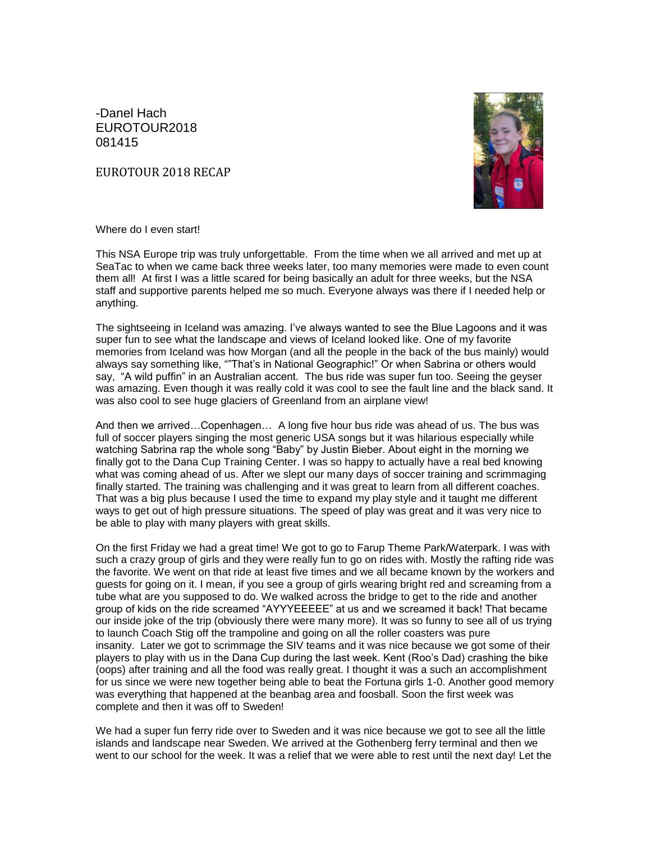-Danel Hach EUROTOUR2018 081415

EUROTOUR 2018 RECAP



Where do I even start!

This NSA Europe trip was truly unforgettable. From the time when we all arrived and met up at SeaTac to when we came back three weeks later, too many memories were made to even count them all! At first I was a little scared for being basically an adult for three weeks, but the NSA staff and supportive parents helped me so much. Everyone always was there if I needed help or anything.

The sightseeing in Iceland was amazing. I've always wanted to see the Blue Lagoons and it was super fun to see what the landscape and views of Iceland looked like. One of my favorite memories from Iceland was how Morgan (and all the people in the back of the bus mainly) would always say something like, ""That's in National Geographic!" Or when Sabrina or others would say, "A wild puffin" in an Australian accent. The bus ride was super fun too. Seeing the geyser was amazing. Even though it was really cold it was cool to see the fault line and the black sand. It was also cool to see huge glaciers of Greenland from an airplane view!

And then we arrived…Copenhagen… A long five hour bus ride was ahead of us. The bus was full of soccer players singing the most generic USA songs but it was hilarious especially while watching Sabrina rap the whole song "Baby" by Justin Bieber. About eight in the morning we finally got to the Dana Cup Training Center. I was so happy to actually have a real bed knowing what was coming ahead of us. After we slept our many days of soccer training and scrimmaging finally started. The training was challenging and it was great to learn from all different coaches. That was a big plus because I used the time to expand my play style and it taught me different ways to get out of high pressure situations. The speed of play was great and it was very nice to be able to play with many players with great skills.

On the first Friday we had a great time! We got to go to Farup Theme Park/Waterpark. I was with such a crazy group of girls and they were really fun to go on rides with. Mostly the rafting ride was the favorite. We went on that ride at least five times and we all became known by the workers and guests for going on it. I mean, if you see a group of girls wearing bright red and screaming from a tube what are you supposed to do. We walked across the bridge to get to the ride and another group of kids on the ride screamed "AYYYEEEEE" at us and we screamed it back! That became our inside joke of the trip (obviously there were many more). It was so funny to see all of us trying to launch Coach Stig off the trampoline and going on all the roller coasters was pure insanity. Later we got to scrimmage the SIV teams and it was nice because we got some of their players to play with us in the Dana Cup during the last week. Kent (Roo's Dad) crashing the bike (oops) after training and all the food was really great. I thought it was a such an accomplishment for us since we were new together being able to beat the Fortuna girls 1-0. Another good memory was everything that happened at the beanbag area and foosball. Soon the first week was complete and then it was off to Sweden!

We had a super fun ferry ride over to Sweden and it was nice because we got to see all the little islands and landscape near Sweden. We arrived at the Gothenberg ferry terminal and then we went to our school for the week. It was a relief that we were able to rest until the next day! Let the